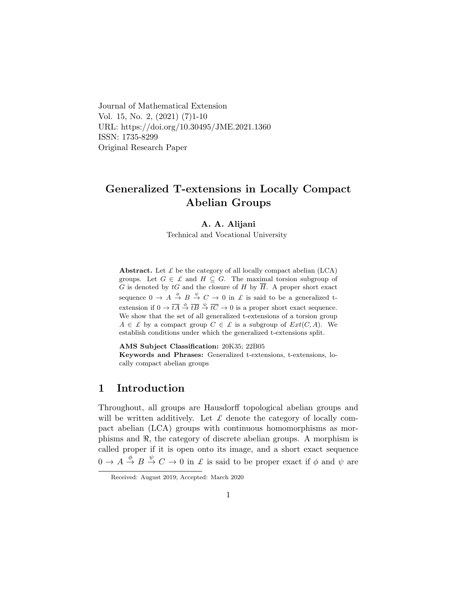Journal of Mathematical Extension Vol. 15, No. 2, (2021) (7)1-10 URL: https://doi.org/10.30495/JME.2021.1360 ISSN: 1735-8299 Original Research Paper

# Generalized T-extensions in Locally Compact Abelian Groups

### A. A. Alijani

Technical and Vocational University

Abstract. Let  $\mathcal L$  be the category of all locally compact abelian (LCA) groups. Let  $G \in \mathcal{L}$  and  $H \subseteq G$ . The maximal torsion subgroup of G is denoted by tG and the closure of H by  $\overline{H}$ . A proper short exact sequence  $0 \to A \stackrel{\phi}{\to} B \stackrel{\psi}{\to} C \to 0$  in  $\mathcal L$  is said to be a generalized textension if  $0 \to \overline{tA} \stackrel{\phi}{\to} \overline{tB} \stackrel{\psi}{\to} \overline{tC} \to 0$  is a proper short exact sequence. We show that the set of all generalized t-extensions of a torsion group  $A \in \mathcal{L}$  by a compact group  $C \in \mathcal{L}$  is a subgroup of  $Ext(C, A)$ . We establish conditions under which the generalized t-extensions split.

AMS Subject Classification: 20K35; 22B05

Keywords and Phrases: Generalized t-extensions, t-extensions, locally compact abelian groups

# 1 Introduction

Throughout, all groups are Hausdorff topological abelian groups and will be written additively. Let  $\mathcal L$  denote the category of locally compact abelian (LCA) groups with continuous homomorphisms as morphisms and  $\Re$ , the category of discrete abelian groups. A morphism is called proper if it is open onto its image, and a short exact sequence  $0 \to A \stackrel{\phi}{\to} B \stackrel{\psi}{\to} C \to 0$  in  $\mathcal L$  is said to be proper exact if  $\phi$  and  $\psi$  are

Received: August 2019; Accepted: March 2020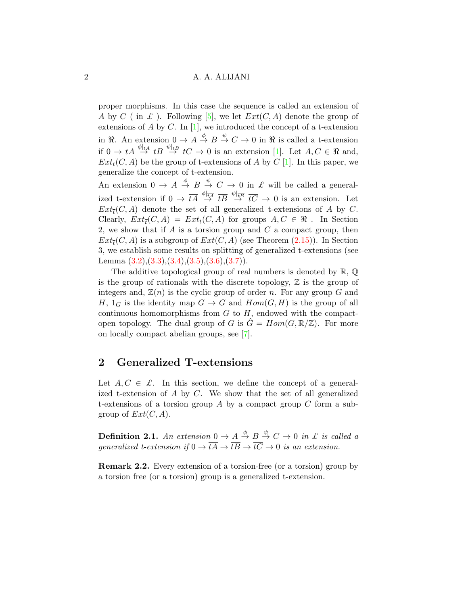### 2 A. A. ALIJANI

proper morphisms. In this case the sequence is called an extension of A by C (in L). Following [\[5\]](#page-8-0), we let  $Ext(C, A)$  denote the group of extensions of A by C. In  $[1]$ , we introduced the concept of a t-extension in  $\Re$ . An extension  $0 \to A \stackrel{\phi}{\to} B \stackrel{\psi}{\to} C \to 0$  in  $\Re$  is called a t-extension if  $0 \to tA \stackrel{\phi|_{tA}}{\to} tB \stackrel{\psi|_{tB}}{\to} tC \to 0$  is an extension [\[1\]](#page-8-1). Let  $A, C \in \Re$  and,  $Ext<sub>t</sub>(C, A)$  be the group of t-extensions of A by C [\[1\]](#page-8-1). In this paper, we generalize the concept of t-extension.

An extension  $0 \to A \stackrel{\phi}{\to} B \stackrel{\psi}{\to} C \to 0$  in  $\mathcal L$  will be called a generalized t-extension if  $0 \to \overline{tA} \stackrel{\phi|_{\overline{tA}}}{\to} \overline{tB} \stackrel{\psi|_{\overline{tB}}}{\to} \overline{tC} \to 0$  is an extension. Let  $Ext_{\overline{t}}(C, A)$  denote the set of all generalized t-extensions of A by C. Clearly,  $Ext_{\overline{t}}(C, A) = Ext_t(C, A)$  for groups  $A, C \in \mathbb{R}$ . In Section 2, we show that if A is a torsion group and  $C$  a compact group, then  $Ext_{\overline{t}}(C, A)$  is a subgroup of  $Ext(C, A)$  (see Theorem [\(2.15\)](#page-6-0)). In Section 3, we establish some results on splitting of generalized t-extensions (see Lemma  $(3.2),(3.3),(3.4),(3.5),(3.6),(3.7)).$  $(3.2),(3.3),(3.4),(3.5),(3.6),(3.7)).$  $(3.2),(3.3),(3.4),(3.5),(3.6),(3.7)).$  $(3.2),(3.3),(3.4),(3.5),(3.6),(3.7)).$  $(3.2),(3.3),(3.4),(3.5),(3.6),(3.7)).$  $(3.2),(3.3),(3.4),(3.5),(3.6),(3.7)).$  $(3.2),(3.3),(3.4),(3.5),(3.6),(3.7)).$  $(3.2),(3.3),(3.4),(3.5),(3.6),(3.7)).$  $(3.2),(3.3),(3.4),(3.5),(3.6),(3.7)).$  $(3.2),(3.3),(3.4),(3.5),(3.6),(3.7)).$  $(3.2),(3.3),(3.4),(3.5),(3.6),(3.7)).$  $(3.2),(3.3),(3.4),(3.5),(3.6),(3.7)).$ 

The additive topological group of real numbers is denoted by  $\mathbb{R}, \mathbb{Q}$ is the group of rationals with the discrete topology,  $\mathbb Z$  is the group of integers and,  $\mathbb{Z}(n)$  is the cyclic group of order n. For any group G and H,  $1_G$  is the identity map  $G \to G$  and  $Hom(G, H)$  is the group of all continuous homomorphisms from  $G$  to  $H$ , endowed with the compactopen topology. The dual group of G is  $\hat{G} = Hom(G, \mathbb{R}/\mathbb{Z})$ . For more on locally compact abelian groups, see [\[7\]](#page-8-4).

## 2 Generalized T-extensions

Let  $A, C \in \mathcal{L}$ . In this section, we define the concept of a generalized t-extension of A by C. We show that the set of all generalized t-extensions of a torsion group  $A$  by a compact group  $C$  form a subgroup of  $Ext(C, A)$ .

**Definition 2.1.** An extension  $0 \to A \stackrel{\phi}{\to} B \stackrel{\psi}{\to} C \to 0$  in £ is called a generalized t-extension if  $0 \to \overline{tA} \to \overline{tB} \to \overline{tC} \to 0$  is an extension.

<span id="page-1-0"></span>Remark 2.2. Every extension of a torsion-free (or a torsion) group by a torsion free (or a torsion) group is a generalized t-extension.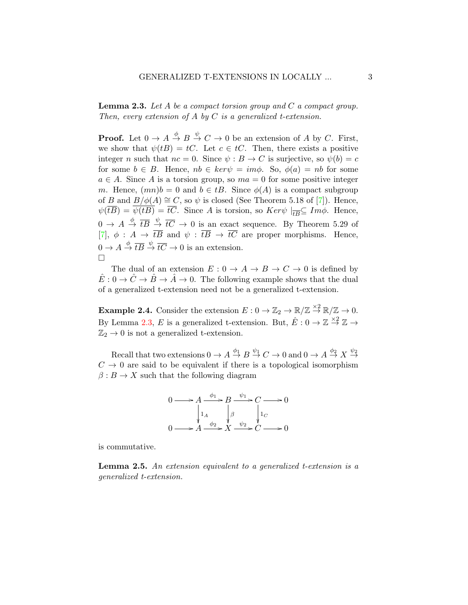<span id="page-2-0"></span>**Lemma 2.3.** Let A be a compact torsion group and  $C$  a compact group. Then, every extension of A by C is a generalized t-extension.

**Proof.** Let  $0 \to A \stackrel{\phi}{\to} B \stackrel{\psi}{\to} C \to 0$  be an extension of A by C. First, we show that  $\psi(tB) = tC$ . Let  $c \in tC$ . Then, there exists a positive integer n such that  $nc = 0$ . Since  $\psi : B \to C$  is surjective, so  $\psi(b) = c$ for some  $b \in B$ . Hence,  $nb \in ker\psi = im\phi$ . So,  $\phi(a) = nb$  for some  $a \in A$ . Since A is a torsion group, so  $ma = 0$  for some positive integer m. Hence,  $(mn)b = 0$  and  $b \in tB$ . Since  $\phi(A)$  is a compact subgroup of B and  $B/\phi(A) \cong C$ , so  $\psi$  is closed (See Theorem 5.18 of [\[7\]](#page-8-4)). Hence,  $\psi(\overline{tB}) = \psi(tB) = \overline{tC}$ . Since A is torsion, so  $Ker\psi \mid_{\overline{tB}} \subseteq Im\phi$ . Hence,  $0 \to A \stackrel{\phi}{\to} \overline{tB} \stackrel{\psi}{\to} \overline{tC} \to 0$  is an exact sequence. By Theorem 5.29 of [\[7\]](#page-8-4),  $\phi : A \to \overline{tB}$  and  $\psi : \overline{tB} \to \overline{tC}$  are proper morphisms. Hence,  $0 \to A \stackrel{\phi}{\to} \overline{tB} \stackrel{\psi}{\to} \overline{tC} \to 0$  is an extension.  $\Box$ 

The dual of an extension  $E: 0 \to A \to B \to C \to 0$  is defined by  $\hat{E}: 0 \to \hat{C} \to \hat{B} \to \hat{A} \to 0$ . The following example shows that the dual of a generalized t-extension need not be a generalized t-extension.

**Example 2.4.** Consider the extension  $E: 0 \to \mathbb{Z}_2 \to \mathbb{R}/\mathbb{Z} \to \mathbb{R}/\mathbb{Z} \to 0$ . By Lemma [2.3,](#page-2-0) E is a generalized t-extension. But,  $\hat{E}: 0 \to \mathbb{Z} \stackrel{\times 2}{\to} \mathbb{Z} \to$  $\mathbb{Z}_2 \rightarrow 0$  is not a generalized t-extension.

Recall that two extensions  $0 \to A \stackrel{\phi_1}{\to} B \stackrel{\psi_1}{\to} C \to 0$  and  $0 \to A \stackrel{\phi_2}{\to} X \stackrel{\psi_2}{\to}$  $C \rightarrow 0$  are said to be equivalent if there is a topological isomorphism  $\beta: B \to X$  such that the following diagram



is commutative.

**Lemma 2.5.** An extension equivalent to a generalized t-extension is a generalized t-extension.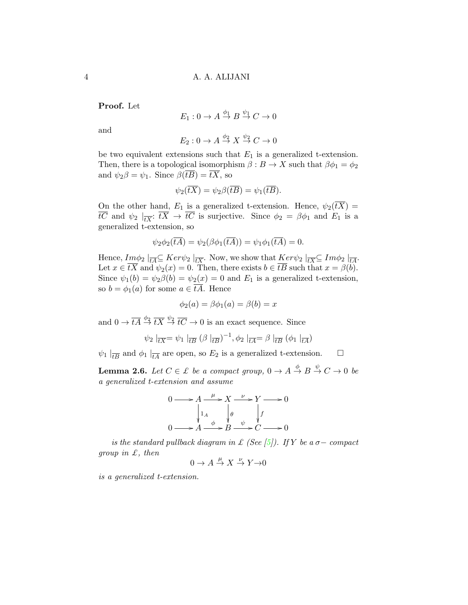Proof. Let

$$
E_1: 0 \to A \stackrel{\phi_1}{\to} B \stackrel{\psi_1}{\to} C \to 0
$$

and

$$
E_2: 0 \to A \stackrel{\phi_2}{\to} X \stackrel{\psi_2}{\to} C \to 0
$$

be two equivalent extensions such that  $E_1$  is a generalized t-extension. Then, there is a topological isomorphism  $\beta : B \to X$  such that  $\beta \phi_1 = \phi_2$ and  $\psi_2 \beta = \psi_1$ . Since  $\beta(\overline{tB}) = \overline{tX}$ , so

$$
\psi_2(\overline{tX}) = \psi_2\beta(\overline{tB}) = \psi_1(\overline{tB}).
$$

On the other hand,  $E_1$  is a generalized t-extension. Hence,  $\psi_2(\overline{tX}) =$ tC and  $\psi_2 \mid_{\overline{tX}} tX \to tC$  is surjective. Since  $\phi_2 = \beta \phi_1$  and  $E_1$  is a generalized t-extension, so

$$
\psi_2 \phi_2(\overline{tA}) = \psi_2(\beta \phi_1(\overline{tA})) = \psi_1 \phi_1(\overline{tA}) = 0.
$$

Hence,  $Im \phi_2 \mid_{\overline{tA}} \subseteq Ker \psi_2 \mid_{\overline{tX}}$ . Now, we show that  $\underline{Ker} \psi_2 \mid_{\overline{tX}} \subseteq Im \phi_2 \mid_{\overline{tA}}$ . Let  $x \in \overline{tX}$  and  $\psi_2(x) = 0$ . Then, there exists  $b \in \overline{tB}$  such that  $x = \beta(b)$ . Since  $\psi_1(b) = \psi_2(\phi) = \psi_2(x) = 0$  and  $E_1$  is a generalized t-extension, so  $b = \phi_1(a)$  for some  $a \in \overline{tA}$ . Hence

$$
\phi_2(a) = \beta \phi_1(a) = \beta(b) = x
$$

and  $0 \to \overline{tA} \stackrel{\phi_2}{\to} \overline{tX} \stackrel{\psi_2}{\to} \overline{tC} \to 0$  is an exact sequence. Since

$$
\psi_2 \mid_{\overline{tX}} = \psi_1 \mid_{\overline{tB}} (\beta \mid_{\overline{tB}})^{-1}, \phi_2 \mid_{\overline{tA}} = \beta \mid_{\overline{tB}} (\phi_1 \mid_{\overline{tA}})
$$

 $\psi_1 \mid_{\overline{tB}}$  and  $\phi_1 \mid_{\overline{tA}}$  are open, so  $E_2$  is a generalized t-extension.  $\Box$ 

<span id="page-3-0"></span>**Lemma 2.6.** Let  $C \in \mathcal{L}$  be a compact group,  $0 \to A \stackrel{\phi}{\to} B \stackrel{\psi}{\to} C \to 0$  be a generalized t-extension and assume

$$
0 \longrightarrow A \xrightarrow{\mu} X \xrightarrow{\nu} Y \longrightarrow 0
$$
  
\n
$$
\downarrow_{1_A} \qquad \qquad \downarrow_{\theta} \qquad \qquad \downarrow_{f}
$$
  
\n
$$
0 \longrightarrow A \xrightarrow{\phi} B \xrightarrow{\psi} C \longrightarrow 0
$$

is the standard pullback diagram in £ (See [\[5\]](#page-8-0)). If Y be a  $\sigma-$  compact group in  $\mathcal{L}$ , then

$$
0 \to A \stackrel{\mu}{\to} X \stackrel{\nu}{\to} Y \to 0
$$

is a generalized t-extension.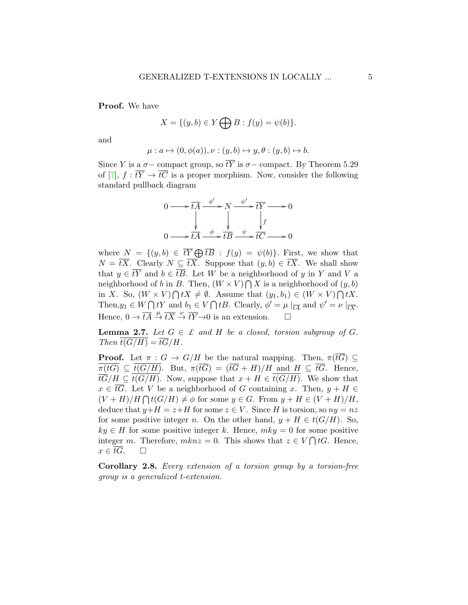Proof. We have

$$
X = \{(y, b) \in Y \bigoplus B : f(y) = \psi(b)\}.
$$

and

$$
\mu: a \mapsto (0, \phi(a)), \nu: (y, b) \mapsto y, \theta: (y, b) \mapsto b.
$$

Since Y is a  $\sigma$ - compact group, so  $\overline{tY}$  is  $\sigma$ - compact. By Theorem 5.29 of [\[7\]](#page-8-4),  $f : t\overline{Y} \to t\overline{C}$  is a proper morphism. Now, consider the following standard pullback diagram



where  $N = \{(y, b) \in \overline{tY} \bigoplus \overline{tB} : f(y) = \psi(b)\}.$  First, we show that  $N = \overline{tX}$ . Clearly  $N \subseteq \overline{tX}$ . Suppose that  $(y, b) \in \overline{tX}$ . We shall show that  $y \in t\overline{Y}$  and  $b \in t\overline{B}$ . Let W be a neighborhood of y in Y and V a neighborhood of b in B. Then,  $(W \times V) \bigcap X$  is a neighborhood of  $(y, b)$ in X. So,  $(W \times V) \bigcap tX \neq \emptyset$ . Assume that  $(y_1, b_1) \in (W \times V) \bigcap tX$ . Then,  $y_1 \in W \cap tY$  and  $b_1 \in V \cap tB$ . Clearly,  $\phi' = \mu \mid_{\overline{tA}}$  and  $\psi' = \nu \mid_{\overline{tX}}$ . Hence,  $0 \to \overline{tA} \stackrel{\mu}{\to} \overline{tX} \stackrel{\nu}{\to} \overline{tY} \to 0$  is an extension.

<span id="page-4-0"></span>**Lemma 2.7.** Let  $G \in \mathcal{L}$  and H be a closed, torsion subgroup of G. Then  $t(G/H) = \overline{tG}/H$ .

**Proof.** Let  $\pi : G \to G/H$  be the natural mapping. Then,  $\pi(\overline{tG}) \subset$  $\pi(tG) \subseteq t(G/H)$ . But,  $\pi(\overline{tG}) = (\overline{tG} + H)/H$  and  $H \subseteq \overline{tG}$ . Hence,  $\overline{tG}/H \subseteq t(G/H)$ . Now, suppose that  $x + H \in t(G/H)$ . We show that  $x \in tG$ . Let V be a neighborhood of G containing x. Then,  $y + H \in$  $(V+H)/H \bigcap t(G/H) \neq \phi$  for some  $y \in G$ . From  $y + H \in (V+H)/H$ , deduce that  $y+H = z+H$  for some  $z \in V$ . Since H is torsion, so  $ny = nz$ for some positive integer n. On the other hand,  $y + H \in t(G/H)$ . So,  $ky \in H$  for some positive integer k. Hence,  $mky = 0$  for some positive integer m. Therefore,  $mknz = 0$ . This shows that  $z \in V \cap tG$ . Hence,  $x \in \overline{tG}$ .  $\Box$ 

<span id="page-4-1"></span>Corollary 2.8. Every extension of a torsion group by a torsion-free group is a generalized t-extension.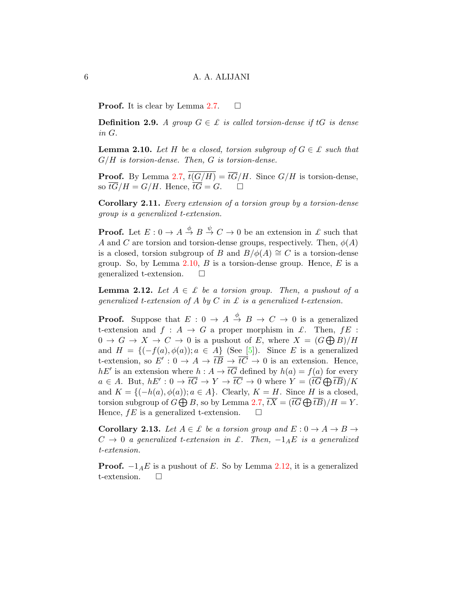**Proof.** It is clear by Lemma [2.7.](#page-4-0)  $\Box$ 

**Definition 2.9.** A group  $G \in \mathcal{L}$  is called torsion-dense if tG is dense in G.

<span id="page-5-0"></span>**Lemma 2.10.** Let H be a closed, torsion subgroup of  $G \in \mathcal{L}$  such that  $G/H$  is torsion-dense. Then,  $G$  is torsion-dense.

**Proof.** By Lemma [2.7,](#page-4-0)  $\overline{t(G/H)} = \overline{tG}/H$ . Since  $G/H$  is torsion-dense, so  $\overline{tG}/H = G/H$ . Hence,  $\overline{tG} = G$ .  $\Box$ 

<span id="page-5-2"></span>Corollary 2.11. Every extension of a torsion group by a torsion-dense group is a generalized t-extension.

**Proof.** Let  $E: 0 \to A \stackrel{\phi}{\to} B \stackrel{\psi}{\to} C \to 0$  be an extension in  $\mathcal{L}$  such that A and C are torsion and torsion-dense groups, respectively. Then,  $\phi(A)$ is a closed, torsion subgroup of B and  $B/\phi(A) \cong C$  is a torsion-dense group. So, by Lemma  $2.10$ , B is a torsion-dense group. Hence, E is a generalized t-extension.  $\square$ 

<span id="page-5-1"></span>**Lemma 2.12.** Let  $A \in \mathcal{L}$  be a torsion group. Then, a pushout of a generalized t-extension of A by C in £ is a generalized t-extension.

**Proof.** Suppose that  $E: 0 \to A \stackrel{\phi}{\to} B \to C \to 0$  is a generalized t-extension and  $f : A \rightarrow G$  a proper morphism in  $\mathcal{L}$ . Then,  $fE$ :  $0 \to G \to X \to C \to 0$  is a pushout of E, where  $X = (G \bigoplus B)/H$ and  $H = \{(-f(a), \phi(a)); a \in A\}$  (See [\[5\]](#page-8-0)). Since E is a generalized t-extension, so  $E': 0 \to A \to \overline{tB} \to \overline{tC} \to 0$  is an extension. Hence,  $hE'$  is an extension where  $h : A \to \overline{tG}$  defined by  $h(a) = f(a)$  for every  $a \in A$ . But,  $hE': 0 \to \overline{tG} \to Y \to \overline{tC} \to 0$  where  $Y = (\overline{tG} \bigoplus \overline{tB})/K$ and  $K = \{(-h(a), \phi(a)); a \in A\}$ . Clearly,  $K = H$ . Since H is a closed, torsion subgroup of  $G \bigoplus B$ , so by Lemma [2.7,](#page-4-0)  $\overline{tX} = (\overline{tG} \bigoplus \overline{tB})/H = Y$ . Hence,  $fE$  is a generalized t-extension.  $\square$ 

**Corollary 2.13.** Let  $A \in \mathcal{L}$  be a torsion group and  $E: 0 \to A \to B \to$  $C \rightarrow 0$  a generalized t-extension in £. Then,  $-1_A E$  is a generalized t-extension.

**Proof.**  $-1_A E$  is a pushout of E. So by Lemma [2.12,](#page-5-1) it is a generalized t-extension.  $\square$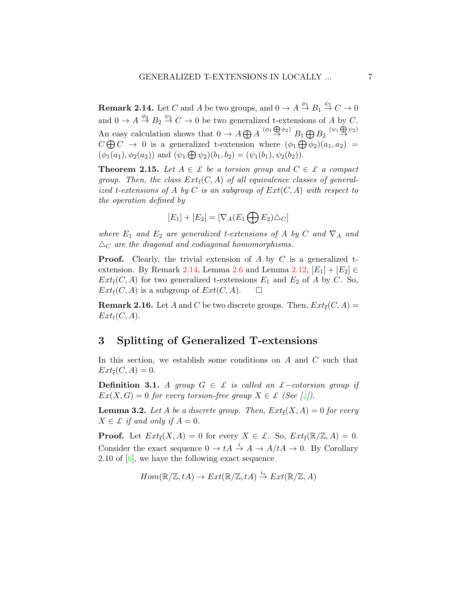<span id="page-6-2"></span>**Remark 2.14.** Let  $C$  and  $A$  be two groups, and  $0 \to A \stackrel{\phi_1}{\to} B_1 \stackrel{\psi_1}{\to} C \to 0$ and  $0 \to A \stackrel{\phi_2}{\to} B_2 \stackrel{\psi_2}{\to} C \to 0$  be two generalized t-extensions of A by C. An easy calculation shows that  $0 \to A \bigoplus A \overset{(\phi_1 \oplus \phi_2)}{\to} B_1 \bigoplus B_2 \overset{(\psi_1 \oplus \psi_2)}{\to}$  $C \bigoplus C \to 0$  is a generalized t-extension where  $(\phi_1 \bigoplus \phi_2)(a_1, a_2) =$  $(\phi_1(a_1), \phi_2(a_2))$  and  $(\psi_1 \bigoplus \psi_2)(b_1, b_2) = (\psi_1(b_1), \psi_2(b_2)).$ 

<span id="page-6-0"></span>**Theorem 2.15.** Let  $A \in \mathcal{L}$  be a torsion group and  $C \in \mathcal{L}$  a compact group. Then, the class  $Ext_{\bar{t}}(C, A)$  of all equivalence classes of generalized t-extensions of A by C is an subgroup of  $Ext(C, A)$  with respect to the operation defined by

$$
[E_1] + [E_2] = [\nabla_A (E_1 \bigoplus E_2) \triangle_C]
$$

where  $E_1$  and  $E_2$  are generalized t-extensions of A by C and  $\nabla_A$  and  $\Delta_C$  are the diagonal and codiagonal homomorphisms.

**Proof.** Clearly, the trivial extension of A by C is a generalized t-extension. By Remark [2.14,](#page-6-2) Lemma [2.6](#page-3-0) and Lemma [2.12,](#page-5-1)  $[E_1] + [E_2] \in$  $Ext_{\bar{t}}(C, A)$  for two generalized t-extensions  $E_1$  and  $E_2$  of A by C. So,  $Ext_{\overline{t}}(C, A)$  is a subgroup of  $Ext(C, A)$ .

<span id="page-6-3"></span>**Remark 2.16.** Let  $A$  and  $C$  be two discrete groups. Then,  $Ext_{\overline{t}}(C, A) =$  $Ext_t(C, A)$ .

### 3 Splitting of Generalized T-extensions

In this section, we establish some conditions on  $A$  and  $C$  such that  $Ext_{\overline{t}}(C, A) = 0.$ 

**Definition 3.1.** A group  $G \in \mathcal{L}$  is called an £-cotorsion group if  $Ex(X, G) = 0$  for every torsion-free group  $X \in \mathcal{L}$  (See [\[4\]](#page-8-5)).

<span id="page-6-1"></span>**Lemma 3.2.** Let  $A$  be a discrete group. Then,  $Ext_{\overline{t}}(X, A) = 0$  for every  $X \in \mathcal{L}$  if and only if  $A = 0$ .

**Proof.** Let  $Ext_{\overline{t}}(X, A) = 0$  for every  $X \in \mathcal{L}$ . So,  $Ext_{\overline{t}}(\mathbb{R}/\mathbb{Z}, A) = 0$ . Consider the exact sequence  $0 \to tA \stackrel{i}{\to} A \to A/tA \to 0$ . By Corollary 2.10 of [\[6\]](#page-8-6), we have the following exact sequence

$$
Hom(\mathbb{R}/\mathbb{Z}, tA) \to Ext(\mathbb{R}/\mathbb{Z}, tA) \stackrel{i_*}{\to} Ext(\mathbb{R}/\mathbb{Z}, A)
$$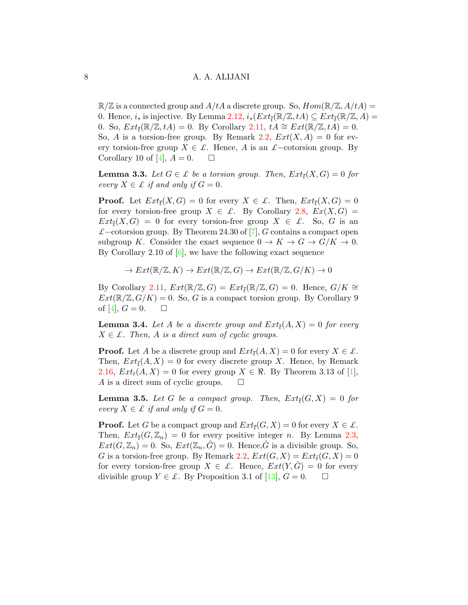$\mathbb{R}/\mathbb{Z}$  is a connected group and  $A/tA$  a discrete group. So,  $Hom(\mathbb{R}/\mathbb{Z}, A/tA) =$ 0. Hence,  $i_*$  is injective. By Lemma [2.12,](#page-5-1)  $i_*(Ext_{\overline{t}}(\mathbb{R}/\mathbb{Z}, tA) \subseteq Ext_{\overline{t}}(\mathbb{R}/\mathbb{Z}, A) =$ 0. So,  $Ext_{\overline{t}}(\mathbb{R}/\mathbb{Z}, tA) = 0$ . By Corollary [2.11,](#page-5-2)  $tA \cong Ext(\mathbb{R}/\mathbb{Z}, tA) = 0$ . So, A is a torsion-free group. By Remark [2.2,](#page-1-0)  $Ext(X, A) = 0$  for every torsion-free group  $X \in \mathcal{L}$ . Hence, A is an  $\mathcal{L}-$ cotorsion group. By Corollary 10 of [\[4\]](#page-8-5),  $A = 0$ .  $\Box$ 

<span id="page-7-0"></span>**Lemma 3.3.** Let  $G \in \mathcal{L}$  be a torsion group. Then,  $Ext_{\overline{t}}(X, G) = 0$  for every  $X \in \mathcal{L}$  if and only if  $G = 0$ .

**Proof.** Let  $Ext_{\overline{t}}(X, G) = 0$  for every  $X \in \mathcal{L}$ . Then,  $Ext_{\overline{t}}(X, G) = 0$ for every torsion-free group  $X \in \mathcal{L}$ . By Corollary [2.8,](#page-4-1)  $Ex(X, G) =$  $Ext_{\overline{t}}(X,G) = 0$  for every torsion-free group  $X \in \mathcal{L}$ . So, G is an £−cotorsion group. By Theorem 24.30 of [\[7\]](#page-8-4), G contains a compact open subgroup K. Consider the exact sequence  $0 \to K \to G \to G/K \to 0$ . By Corollary 2.10 of  $[6]$ , we have the following exact sequence

$$
\to Ext(\mathbb{R}/\mathbb{Z}, K) \to Ext(\mathbb{R}/\mathbb{Z}, G) \to Ext(\mathbb{R}/\mathbb{Z}, G/K) \to 0
$$

By Corollary [2.11,](#page-5-2)  $Ext(\mathbb{R}/\mathbb{Z}, G) = Ext_{\overline{t}}(\mathbb{R}/\mathbb{Z}, G) = 0$ . Hence,  $G/K \cong$  $Ext(\mathbb{R}/\mathbb{Z}, G/K) = 0$ . So, G is a compact torsion group. By Corollary 9 of [\[4\]](#page-8-5),  $G = 0$ .  $\Box$ 

<span id="page-7-1"></span>**Lemma 3.4.** Let A be a discrete group and  $Ext_{\overline{t}}(A, X) = 0$  for every  $X \in \mathcal{L}$ . Then, A is a direct sum of cyclic groups.

**Proof.** Let A be a discrete group and  $Ext_{\overline{t}}(A, X) = 0$  for every  $X \in \mathcal{L}$ . Then,  $Ext_{\overline{t}}(A, X) = 0$  for every discrete group X. Hence, by Remark [2.16,](#page-6-3)  $Ext_t(A, X) = 0$  for every group  $X \in \mathbb{R}$ . By Theorem 3.13 of [\[1\]](#page-8-1), A is a direct sum of cyclic groups.  $\square$ 

<span id="page-7-2"></span>**Lemma 3.5.** Let G be a compact group. Then,  $Ext_{\overline{t}}(G,X) = 0$  for every  $X \in \mathcal{L}$  if and only if  $G = 0$ .

**Proof.** Let G be a compact group and  $Ext_{\overline{t}}(G,X) = 0$  for every  $X \in \mathcal{L}$ . Then,  $Ext_{\overline{t}}(G,\mathbb{Z}_n) = 0$  for every positive integer n. By Lemma [2.3,](#page-2-0)  $Ext(G, \mathbb{Z}_n) = 0$ . So,  $Ext(\mathbb{Z}_n, G) = 0$ . Hence, G is a divisible group. So, G is a torsion-free group. By Remark [2.2,](#page-1-0)  $Ext(G, X) = Ext_{\overline{t}}(G, X) = 0$ for every torsion-free group  $X \in \mathcal{L}$ . Hence,  $Ext(Y, G) = 0$  for every divisible group  $Y \in \mathcal{L}$ . By Proposition 3.1 of [\[13\]](#page-9-0),  $G = 0$ .  $\Box$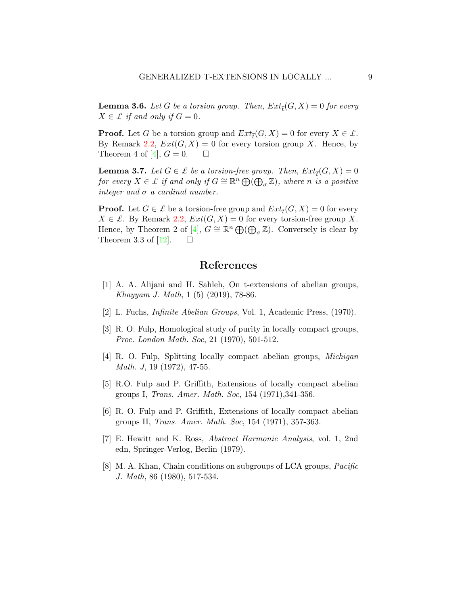<span id="page-8-2"></span>**Lemma 3.6.** Let G be a torsion group. Then,  $Ext_{\overline{t}}(G,X) = 0$  for every  $X \in \mathcal{L}$  if and only if  $G = 0$ .

**Proof.** Let G be a torsion group and  $Ext_{\overline{t}}(G, X) = 0$  for every  $X \in \mathcal{L}$ . By Remark [2.2,](#page-1-0)  $Ext(G, X) = 0$  for every torsion group X. Hence, by Theorem 4 of [\[4\]](#page-8-5),  $G = 0$ .  $\Box$ 

<span id="page-8-3"></span>**Lemma 3.7.** Let  $G \in \mathcal{L}$  be a torsion-free group. Then,  $Ext_{\overline{t}}(G,X) = 0$ for every  $X \in \mathcal{L}$  if and only if  $G \cong \mathbb{R}^n \bigoplus_{\alpha \in \mathbb{Z}} (\bigoplus_{\sigma} \mathbb{Z})$ , where n is a positive integer and  $\sigma$  a cardinal number.

**Proof.** Let  $G \in \mathcal{L}$  be a torsion-free group and  $Ext_{\overline{t}}(G, X) = 0$  for every  $X \in \mathcal{L}$ . By Remark [2.2,](#page-1-0)  $Ext(G, X) = 0$  for every torsion-free group X. Hence, by Theorem 2 of [\[4\]](#page-8-5),  $G \cong \mathbb{R}^n \bigoplus (\bigoplus_{\sigma} \mathbb{Z})$ . Conversely is clear by Theorem 3.3 of [\[12\]](#page-9-1).  $\Box$ 

### References

- <span id="page-8-1"></span>[1] A. A. Alijani and H. Sahleh, On t-extensions of abelian groups, Khayyam J. Math, 1 (5) (2019), 78-86.
- [2] L. Fuchs, Infinite Abelian Groups, Vol. 1, Academic Press, (1970).
- [3] R. O. Fulp, Homological study of purity in locally compact groups, Proc. London Math. Soc, 21 (1970), 501-512.
- <span id="page-8-5"></span>[4] R. O. Fulp, Splitting locally compact abelian groups, Michigan Math. J, 19 (1972), 47-55.
- <span id="page-8-0"></span>[5] R.O. Fulp and P. Griffith, Extensions of locally compact abelian groups I, Trans. Amer. Math. Soc, 154 (1971),341-356.
- <span id="page-8-6"></span>[6] R. O. Fulp and P. Griffith, Extensions of locally compact abelian groups II, Trans. Amer. Math. Soc, 154 (1971), 357-363.
- <span id="page-8-4"></span>[7] E. Hewitt and K. Ross, Abstract Harmonic Analysis, vol. 1, 2nd edn, Springer-Verlog, Berlin (1979).
- [8] M. A. Khan, Chain conditions on subgroups of LCA groups, *Pacific* J. Math, 86 (1980), 517-534.